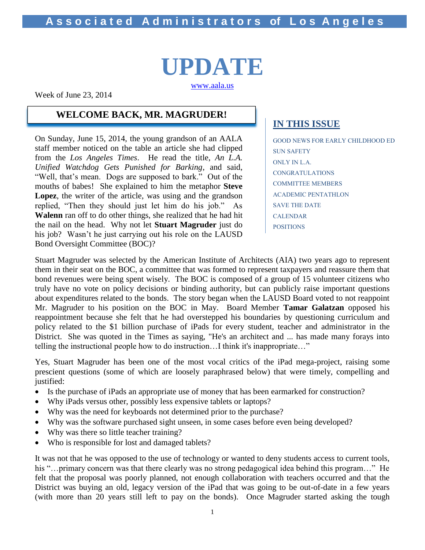# **UPDATE** [www.aala.us](http://www.aala.us/)

Week of June 23, 2014

### **WELCOME BACK, MR. MAGRUDER!**

On Sunday, June 15, 2014, the young grandson of an AALA staff member noticed on the table an article she had clipped from the *Los Angeles Times*. He read the title, *An L.A. Unified Watchdog Gets Punished for Barking*, and said, "Well, that's mean. Dogs are supposed to bark." Out of the mouths of babes! She explained to him the metaphor **Steve Lopez**, the writer of the article, was using and the grandson replied, "Then they should just let him do his job." As **Walenn** ran off to do other things, she realized that he had hit the nail on the head. Why not let **Stuart Magruder** just do his job? Wasn't he just carrying out his role on the LAUSD Bond Oversight Committee (BOC)?

# **IN THIS ISSUE**

GOOD NEWS FOR EARLY CHILDHOOD ED SUN SAFETY ONLY IN L.A. CONGRATULATIONS COMMITTEE MEMBERS ACADEMIC PENTATHLON SAVE THE DATE CALENDAR POSITIONS

Stuart Magruder was selected by the American Institute of Architects (AIA) two years ago to represent them in their seat on the BOC, a committee that was formed to represent taxpayers and reassure them that bond revenues were being spent wisely. The BOC is composed of a group of 15 volunteer citizens who truly have no vote on policy decisions or binding authority, but can publicly raise important questions about expenditures related to the bonds. The story began when the LAUSD Board voted to not reappoint Mr. Magruder to his position on the BOC in May. Board Member **Tamar Galatzan** opposed his reappointment because she felt that he had overstepped his boundaries by questioning curriculum and policy related to the \$1 billion purchase of iPads for every student, teacher and administrator in the District. She was quoted in the Times as saying, "He's an architect and ... has made many forays into telling the instructional people how to do instruction…I think it's inappropriate…"

Yes, Stuart Magruder has been one of the most vocal critics of the iPad mega-project, raising some prescient questions (some of which are loosely paraphrased below) that were timely, compelling and justified:

- Is the purchase of iPads an appropriate use of money that has been earmarked for construction?
- Why iPads versus other, possibly less expensive tablets or laptops?
- Why was the need for keyboards not determined prior to the purchase?
- Why was the software purchased sight unseen, in some cases before even being developed?
- Why was there so little teacher training?
- Who is responsible for lost and damaged tablets?

It was not that he was opposed to the use of technology or wanted to deny students access to current tools, his "…primary concern was that there clearly was no strong pedagogical idea behind this program…" He felt that the proposal was poorly planned, not enough collaboration with teachers occurred and that the District was buying an old, legacy version of the iPad that was going to be out-of-date in a few years (with more than 20 years still left to pay on the bonds). Once Magruder started asking the tough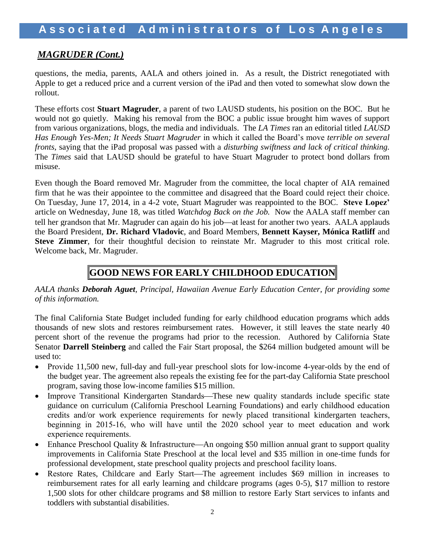# *MAGRUDER (Cont.)*

questions, the media, parents, AALA and others joined in. As a result, the District renegotiated with Apple to get a reduced price and a current version of the iPad and then voted to somewhat slow down the rollout.

These efforts cost **Stuart Magruder**, a parent of two LAUSD students, his position on the BOC. But he would not go quietly. Making his removal from the BOC a public issue brought him waves of support from various organizations, blogs, the media and individuals. The *LA Times* ran an editorial titled *LAUSD Has Enough Yes-Men; It Needs Stuart Magruder* in which it called the Board's move *terrible on several fronts*, saying that the iPad proposal was passed with a *disturbing swiftness and lack of critical thinking.*  The *Times* said that LAUSD should be grateful to have Stuart Magruder to protect bond dollars from misuse.

Even though the Board removed Mr. Magruder from the committee, the local chapter of AIA remained firm that he was their appointee to the committee and disagreed that the Board could reject their choice. On Tuesday, June 17, 2014, in a 4-2 vote, Stuart Magruder was reappointed to the BOC. **Steve Lopez'** article on Wednesday, June 18, was titled *Watchdog Back on the Job.* Now the AALA staff member can tell her grandson that Mr. Magruder can again do his job—at least for another two years. AALA applauds the Board President, **Dr. Richard Vladovic**, and Board Members, **Bennett Kayser, Mónica Ratliff** and **Steve Zimmer**, for their thoughtful decision to reinstate Mr. Magruder to this most critical role. Welcome back, Mr. Magruder.

# **GOOD NEWS FOR EARLY CHILDHOOD EDUCATION**

*AALA thanks Deborah Aguet, Principal, Hawaiian Avenue Early Education Center, for providing some of this information.*

The final California State Budget included funding for early childhood education programs which adds thousands of new slots and restores reimbursement rates. However, it still leaves the state nearly 40 percent short of the revenue the programs had prior to the recession. Authored by California State Senator **Darrell Steinberg** and called the Fair Start proposal, the \$264 million budgeted amount will be used to:

- Provide 11,500 new, full-day and full-year preschool slots for low-income 4-year-olds by the end of the budget year. The agreement also repeals the existing fee for the part-day California State preschool program, saving those low-income families \$15 million.
- Improve Transitional Kindergarten Standards—These new quality standards include specific state guidance on curriculum (California Preschool Learning Foundations) and early childhood education credits and/or work experience requirements for newly placed transitional kindergarten teachers, beginning in 2015-16, who will have until the 2020 school year to meet education and work experience requirements.
- Enhance Preschool Quality & Infrastructure—An ongoing \$50 million annual grant to support quality improvements in California State Preschool at the local level and \$35 million in one-time funds for professional development, state preschool quality projects and preschool facility loans.
- Restore Rates, Childcare and Early Start—The agreement includes \$69 million in increases to reimbursement rates for all early learning and childcare programs (ages 0-5), \$17 million to restore 1,500 slots for other childcare programs and \$8 million to restore Early Start services to infants and toddlers with substantial disabilities.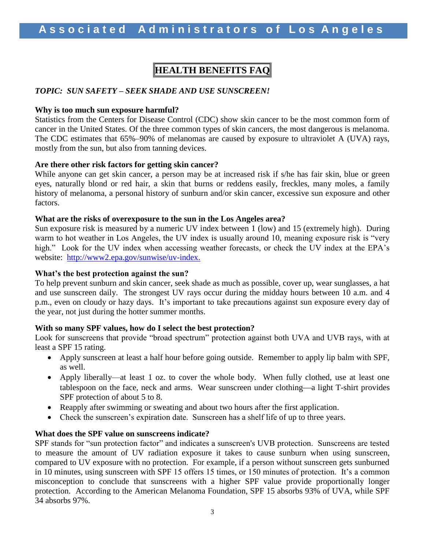# **HEALTH BENEFITS FAQ**

#### *TOPIC: SUN SAFETY – SEEK SHADE AND USE SUNSCREEN!*

#### **Why is too much sun exposure harmful?**

Statistics from the Centers for Disease Control (CDC) show skin cancer to be the most common form of cancer in the United States. Of the three common types of skin cancers, the most dangerous is melanoma. The CDC estimates that 65%–90% of melanomas are caused by exposure to ultraviolet A (UVA) rays, mostly from the sun, but also from tanning devices.

#### **Are there other risk factors for getting skin cancer?**

While anyone can get skin cancer, a person may be at increased risk if s/he has fair skin, blue or green eyes, naturally blond or red hair, a skin that burns or reddens easily, freckles, many moles, a family history of melanoma, a personal history of sunburn and/or skin cancer, excessive sun exposure and other factors.

#### **What are the risks of overexposure to the sun in the Los Angeles area?**

Sun exposure risk is measured by a numeric UV index between 1 (low) and 15 (extremely high). During warm to hot weather in Los Angeles, the UV index is usually around 10, meaning exposure risk is "very high." Look for the UV index when accessing weather forecasts, or check the UV index at the EPA's website: [http://www2.epa.gov/sunwise/uv-index.](http://www2.epa.gov/sunwise/uv-index)

#### **What's the best protection against the sun?**

To help prevent sunburn and skin cancer, seek shade as much as possible, cover up, wear sunglasses, a hat and use sunscreen daily. The strongest UV rays occur during the midday hours between 10 a.m. and 4 p.m., even on cloudy or hazy days. It's important to take precautions against sun exposure every day of the year, not just during the hotter summer months.

#### **With so many SPF values, how do I select the best protection?**

Look for sunscreens that provide "broad spectrum" protection against both UVA and UVB rays, with at least a SPF 15 rating.

- Apply sunscreen at least a half hour before going outside. Remember to apply lip balm with SPF, as well.
- Apply liberally—at least 1 oz. to cover the whole body. When fully clothed, use at least one tablespoon on the face, neck and arms. Wear sunscreen under clothing—a light T-shirt provides SPF protection of about 5 to 8.
- Reapply after swimming or sweating and about two hours after the first application.
- Check the sunscreen's expiration date. Sunscreen has a shelf life of up to three years.

#### **What does the SPF value on sunscreens indicate?**

SPF stands for "sun protection factor" and indicates a sunscreen's UVB protection. Sunscreens are tested to measure the amount of UV radiation exposure it takes to cause sunburn when using sunscreen, compared to UV exposure with no protection. For example, if a person without sunscreen gets sunburned in 10 minutes, using sunscreen with SPF 15 offers 15 times, or 150 minutes of protection. It's a common misconception to conclude that sunscreens with a higher SPF value provide proportionally longer protection. According to the American Melanoma Foundation, SPF 15 absorbs 93% of UVA, while SPF 34 absorbs 97%.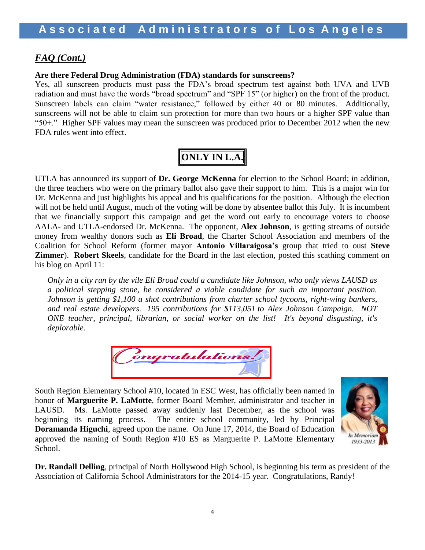## *FAQ (Cont.)*

#### **Are there Federal Drug Administration (FDA) standards for sunscreens?**

Yes, all sunscreen products must pass the FDA's broad spectrum test against both UVA and UVB radiation and must have the words "broad spectrum" and "SPF 15" (or higher) on the front of the product. Sunscreen labels can claim "water resistance," followed by either 40 or 80 minutes. Additionally, sunscreens will not be able to claim sun protection for more than two hours or a higher SPF value than "50+." Higher SPF values may mean the sunscreen was produced prior to December 2012 when the new FDA rules went into effect.

# **ONLY IN L.A.**

UTLA has announced its support of **Dr. George McKenna** for election to the School Board; in addition, the three teachers who were on the primary ballot also gave their support to him. This is a major win for Dr. McKenna and just highlights his appeal and his qualifications for the position. Although the election will not be held until August, much of the voting will be done by absentee ballot this July. It is incumbent that we financially support this campaign and get the word out early to encourage voters to choose AALA- and UTLA-endorsed Dr. McKenna. The opponent, **Alex Johnson**, is getting streams of outside money from wealthy donors such as **Eli Broad**, the Charter School Association and members of the Coalition for School Reform (former mayor **Antonio Villaraigosa's** group that tried to oust **Steve Zimmer**). **Robert Skeels**, candidate for the Board in the last election, posted this scathing comment on his blog on April 11:

*Only in a city run by the vile Eli Broad could a candidate like Johnson, who only views LAUSD as a political stepping stone, be considered a viable candidate for such an important position. Johnson is getting \$1,100 a shot contributions from charter school tycoons, right-wing bankers, and real estate developers. [195 contributions for \\$113,051](http://ethics.lacity.org/disclosure/campaign/browse/public_rpt_sa.cfm?showall=yes&doc_id=8123) to Alex Johnson Campaign. NOT ONE teacher, principal, librarian, or social worker on the list! It's beyond disgusting, it's deplorable.*



South Region Elementary School #10, located in ESC West, has officially been named in honor of **Marguerite P. LaMotte**, former Board Member, administrator and teacher in LAUSD. Ms. LaMotte passed away suddenly last December, as the school was beginning its naming process. The entire school community, led by Principal **Doramanda Higuchi**, agreed upon the name. On June 17, 2014, the Board of Education approved the naming of South Region #10 ES as Marguerite P. LaMotte Elementary School.



**Dr. Randall Delling**, principal of North Hollywood High School, is beginning his term as president of the Association of California School Administrators for the 2014-15 year. Congratulations, Randy!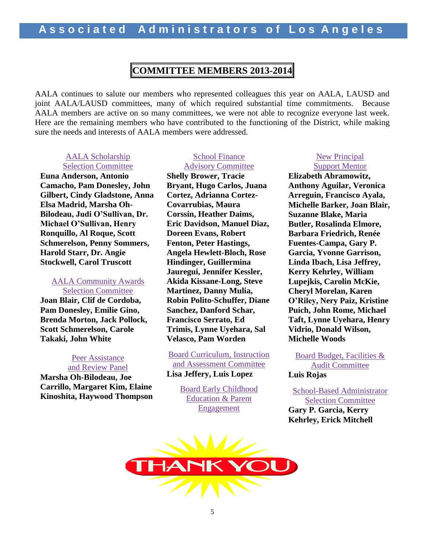# **COMMITTEE MEMBERS 2013-2014**

AALA continues to salute our members who represented colleagues this year on AALA, LAUSD and joint AALA/LAUSD committees, many of which required substantial time commitments. Because AALA members are active on so many committees, we were not able to recognize everyone last week. Here are the remaining members who have contributed to the functioning of the District, while making sure the needs and interests of AALA members were addressed.

#### AALA Scholarship Selection Committee

**Euna Anderson, Antonio Camacho, Pam Donesley, John Gilbert, Cindy Gladstone, Anna Elsa Madrid, Marsha Oh-Bilodeau, Judi O'Sullivan, Dr. Michael O'Sullivan, Henry Ronquillo, Al Roque, Scott Schmerelson, Penny Sommers, Harold Starr, Dr. Angie Stockwell, Carol Truscott**

#### AALA Community Awards Selection Committee

**Joan Blair, Clif de Cordoba, Pam Donesley, Emilie Gino, Brenda Morton, Jack Pollock, Scott Schmerelson, Carole Takaki, John White**

#### Peer Assistance and Review Panel

**Marsha Oh-Bilodeau, Joe Carrillo, Margaret Kim, Elaine Kinoshita, Haywood Thompson**

#### School Finance Advisory Committee

**Shelly Brower, Tracie Bryant, Hugo Carlos, Juana Cortez, Adrianna Cortez-Covarrubias, Maura Corssin, Heather Daims, Eric Davidson, Manuel Diaz, Doreen Evans, Robert Fenton, Peter Hastings, Angela Hewlett-Bloch, Rose Hindinger, Guillermina Jauregui, Jennifer Kessler, Akida Kissane-Long, Steve Martinez, Danny Mulia, Robin Polito-Schuffer, Diane Sanchez, Danford Schar, Francisco Serrato, Ed Trimis, Lynne Uyehara, Sal Velasco, Pam Worden**

Board Curriculum, Instruction and Assessment Committee **Lisa Jeffery, Luis Lopez** 

> Board Early Childhood Education & Parent **Engagement**

#### New Principal Support Mentor

**Elizabeth Abramowitz, Anthony Aguilar, Veronica Arreguin, Francisco Ayala, Michelle Barker, Joan Blair, Suzanne Blake, Maria Butler, Rosalinda Elmore, Barbara Friedrich, Renée Fuentes-Campa, Gary P. Garcia, Yvonne Garrison, Linda Ibach, Lisa Jeffrey, Kerry Kehrley, William Lupejkis, Carolin McKie, Cheryl Morelan, Karen O'Riley, Nery Paiz, Kristine Puich, John Rome, Michael Taft, Lynne Uyehara, Henry Vidrio, Donald Wilson, Michelle Woods**

Board Budget, Facilities & Audit Committee **Luis Rojas**

School-Based Administrator Selection Committee **Gary P. Garcia, Kerry Kehrley, Erick Mitchell**

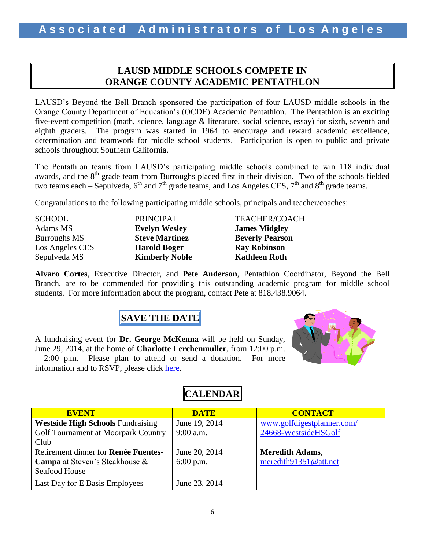# **LAUSD MIDDLE SCHOOLS COMPETE IN ORANGE COUNTY ACADEMIC PENTATHLON**

LAUSD's Beyond the Bell Branch sponsored the participation of four LAUSD middle schools in the Orange County Department of Education's (OCDE) Academic Pentathlon. The Pentathlon is an exciting five-event competition (math, science, language & literature, social science, essay) for sixth, seventh and eighth graders. The program was started in 1964 to encourage and reward academic excellence, determination and teamwork for middle school students. Participation is open to public and private schools throughout Southern California.

The Pentathlon teams from LAUSD's participating middle schools combined to win 118 individual awards, and the  $8<sup>th</sup>$  grade team from Burroughs placed first in their division. Two of the schools fielded two teams each – Sepulveda,  $6<sup>th</sup>$  and  $7<sup>th</sup>$  grade teams, and Los Angeles CES,  $7<sup>th</sup>$  and  $8<sup>th</sup>$  grade teams.

Congratulations to the following participating middle schools, principals and teacher/coaches:

| <b>SCHOOL</b>       | PRINCIP.        |
|---------------------|-----------------|
| Adams MS            | <b>Evelyn W</b> |
| <b>Burroughs MS</b> | <b>Steve Ma</b> |
| Los Angeles CES     | <b>Harold B</b> |
| Sepulveda MS        | <b>Kimberly</b> |
|                     |                 |

AL TEACHER/COACH **Adams Midgley James Midgley Intinez Beverly Pearson** Los Angeles CES **Harold Boger Ray Robinson Kathleen Roth** 

**Alvaro Cortes**, Executive Director, and **Pete Anderson**, Pentathlon Coordinator, Beyond the Bell Branch, are to be commended for providing this outstanding academic program for middle school students. For more information about the program, contact Pete at 818.438.9064.

# **SAVE THE DATE**

A fundraising event for **Dr. George McKenna** will be held on Sunday, June 29, 2014, at the home of **Charlotte Lerchenmuller**, from 12:00 p.m. – 2:00 p.m. Please plan to attend or send a donation. For more information and to RSVP, please click [here.](http://www.aala.us/docs/2014/06/June-29-Lerchenmuller-Invite.pdf)



# **CALENDAR**

| <b>EVENT</b>                             | <b>DATE</b>   | <b>CONTACT</b>             |
|------------------------------------------|---------------|----------------------------|
| <b>Westside High Schools Fundraising</b> | June 19, 2014 | www.golfdigestplanner.com/ |
| Golf Tournament at Moorpark Country      | $9:00$ a.m.   | 24668-WestsideHSGolf       |
| Club                                     |               |                            |
| Retirement dinner for Renée Fuentes-     | June 20, 2014 | <b>Meredith Adams,</b>     |
| <b>Campa</b> at Steven's Steakhouse $\&$ | $6:00$ p.m.   | meredith91351@att.net      |
| <b>Seafood House</b>                     |               |                            |
| Last Day for E Basis Employees           | June 23, 2014 |                            |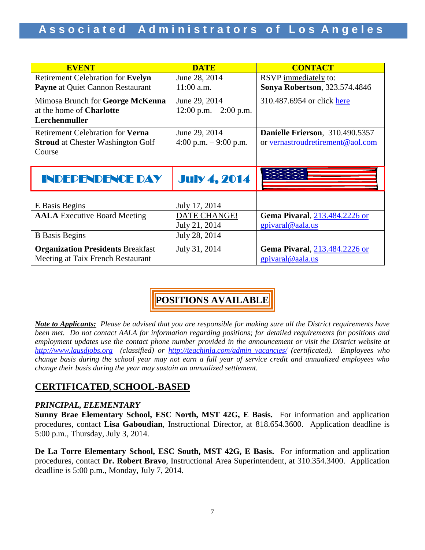| <b>EVENT</b>                             | <b>DATE</b>               | <b>CONTACT</b>                        |
|------------------------------------------|---------------------------|---------------------------------------|
| <b>Retirement Celebration for Evelyn</b> | June 28, 2014             | RSVP immediately to:                  |
| Payne at Quiet Cannon Restaurant         | $11:00$ a.m.              | <b>Sonya Robertson</b> , 323.574.4846 |
| Mimosa Brunch for George McKenna         | June 29, 2014             | 310.487.6954 or click here            |
| at the home of <b>Charlotte</b>          | $12:00$ p.m. $-2:00$ p.m. |                                       |
| Lerchenmuller                            |                           |                                       |
| Retirement Celebration for <b>Verna</b>  | June 29, 2014             | Danielle Frierson, 310.490.5357       |
| <b>Stroud</b> at Chester Washington Golf | 4:00 p.m. $-9:00$ p.m.    | or vernastroudretirement@aol.com      |
| Course                                   |                           |                                       |
|                                          |                           |                                       |
| INDEPENDENCE DAY                         | <b>July 4, 2014</b>       |                                       |
|                                          |                           |                                       |
| E Basis Begins                           | July 17, 2014             |                                       |
| <b>AALA</b> Executive Board Meeting      | DATE CHANGE!              | Gema Pivaral, 213.484.2226 or         |
|                                          | July 21, 2014             | gpivaral@aala.us                      |
| <b>B</b> Basis Begins                    | July 28, 2014             |                                       |
| <b>Organization Presidents Breakfast</b> | July 31, 2014             | <b>Gema Pivaral, 213.484.2226 or</b>  |
| Meeting at Taix French Restaurant        |                           | gpivaral@aala.us                      |

# **POSITIONS AVAILABLE**

*Note to Applicants: Please be advised that you are responsible for making sure all the District requirements have been met. Do not contact AALA for information regarding positions; for detailed requirements for positions and*  employment updates use the contact phone number provided in the announcement or visit the District website at *[http://www.lausdjobs.org](http://www.lausdjobs.org/) (classified) or [http://teachinla.com/admin\\_vacancies/](http://teachinla.com/admin_vacancies/) (certificated). Employees who change basis during the school year may not earn a full year of service credit and annualized employees who change their basis during the year may sustain an annualized settlement.*

# **CERTIFICATED, SCHOOL-BASED**

#### *PRINCIPAL, ELEMENTARY*

**Sunny Brae Elementary School, ESC North, MST 42G, E Basis.** For information and application procedures, contact **Lisa Gaboudian**, Instructional Director, at 818.654.3600. Application deadline is 5:00 p.m., Thursday, July 3, 2014.

**De La Torre Elementary School, ESC South, MST 42G, E Basis.** For information and application procedures, contact **Dr. Robert Bravo**, Instructional Area Superintendent, at 310.354.3400. Application deadline is 5:00 p.m., Monday, July 7, 2014.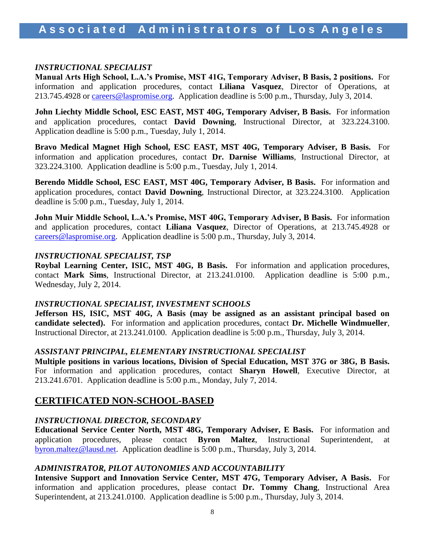#### *INSTRUCTIONAL SPECIALIST*

**Manual Arts High School, L.A.'s Promise, MST 41G, Temporary Adviser, B Basis, 2 positions.** For information and application procedures, contact **Liliana Vasquez**, Director of Operations, at 213.745.4928 or [careers@laspromise.org.](mailto:careers@laspromise.org) Application deadline is 5:00 p.m., Thursday, July 3, 2014.

**John Liechty Middle School, ESC EAST, MST 40G, Temporary Adviser, B Basis.** For information and application procedures, contact **David Downing**, Instructional Director, at 323.224.3100. Application deadline is 5:00 p.m., Tuesday, July 1, 2014.

**Bravo Medical Magnet High School, ESC EAST, MST 40G, Temporary Adviser, B Basis.** For information and application procedures, contact **Dr. Darnise Williams**, Instructional Director, at 323.224.3100. Application deadline is 5:00 p.m., Tuesday, July 1, 2014.

**Berendo Middle School, ESC EAST, MST 40G, Temporary Adviser, B Basis.** For information and application procedures, contact **David Downing**, Instructional Director, at 323.224.3100. Application deadline is 5:00 p.m., Tuesday, July 1, 2014.

**John Muir Middle School, L.A.'s Promise, MST 40G, Temporary Adviser, B Basis.** For information and application procedures, contact **Liliana Vasquez**, Director of Operations, at 213.745.4928 or [careers@laspromise.org.](mailto:careers@laspromise.org) Application deadline is 5:00 p.m., Thursday, July 3, 2014.

#### *INSTRUCTIONAL SPECIALIST, TSP*

**Roybal Learning Center, ISIC, MST 40G, B Basis.** For information and application procedures, contact **Mark Sims**, Instructional Director, at 213.241.0100. Application deadline is 5:00 p.m., Wednesday, July 2, 2014.

#### *INSTRUCTIONAL SPECIALIST, INVESTMENT SCHOOLS*

**Jefferson HS, ISIC, MST 40G, A Basis (may be assigned as an assistant principal based on candidate selected).** For information and application procedures, contact **Dr. Michelle Windmueller**, Instructional Director, at 213.241.0100. Application deadline is 5:00 p.m., Thursday, July 3, 2014.

#### *ASSISTANT PRINCIPAL, ELEMENTARY INSTRUCTIONAL SPECIALIST*

**Multiple positions in various locations, Division of Special Education, MST 37G or 38G, B Basis.** For information and application procedures, contact **Sharyn Howell**, Executive Director, at 213.241.6701. Application deadline is 5:00 p.m., Monday, July 7, 2014.

## **CERTIFICATED NON-SCHOOL-BASED**

#### *INSTRUCTIONAL DIRECTOR, SECONDARY*

**Educational Service Center North, MST 48G, Temporary Adviser, E Basis.** For information and application procedures, please contact **Byron Maltez**, Instructional Superintendent, at [byron.maltez@lausd.net.](mailto:byron.maltez@lausd.net) Application deadline is 5:00 p.m., Thursday, July 3, 2014.

#### *ADMINISTRATOR, PILOT AUTONOMIES AND ACCOUNTABILITY*

**Intensive Support and Innovation Service Center, MST 47G, Temporary Adviser, A Basis.** For information and application procedures, please contact **Dr. Tommy Chang**, Instructional Area Superintendent, at 213.241.0100. Application deadline is 5:00 p.m., Thursday, July 3, 2014.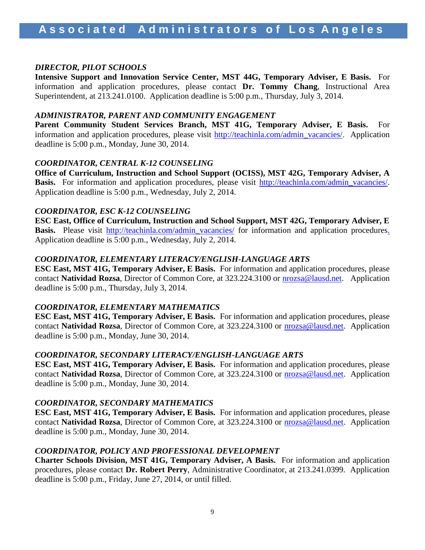#### *DIRECTOR, PILOT SCHOOLS*

**Intensive Support and Innovation Service Center, MST 44G, Temporary Adviser, E Basis.** For information and application procedures, please contact **Dr. Tommy Chang**, Instructional Area Superintendent, at 213.241.0100. Application deadline is 5:00 p.m., Thursday, July 3, 2014.

#### *ADMINISTRATOR, PARENT AND COMMUNITY ENGAGEMENT*

**Parent Community Student Services Branch, MST 41G, Temporary Adviser, E Basis.** For information and application procedures, please visit [http://teachinla.com/admin\\_vacancies/.](http://teachinla.com/admin_vacancies/) Application deadline is 5:00 p.m., Monday, June 30, 2014.

#### *COORDINATOR, CENTRAL K-12 COUNSELING*

**Office of Curriculum, Instruction and School Support (OCISS), MST 42G, Temporary Adviser, A** Basis. For information and application procedures, please visit [http://teachinla.com/admin\\_vacancies/.](http://teachinla.com/admin_vacancies/) Application deadline is 5:00 p.m., Wednesday, July 2, 2014.

#### *COORDINATOR, ESC K-12 COUNSELING*

**ESC East, Office of Curriculum, Instruction and School Support, MST 42G, Temporary Adviser, E Basis.** Please visit [http://teachinla.com/admin\\_vacancies/](http://teachinla.com/admin_vacancies/) for information and application procedures. Application deadline is 5:00 p.m., Wednesday, July 2, 2014.

#### *COORDINATOR, ELEMENTARY LITERACY/ENGLISH-LANGUAGE ARTS*

**ESC East, MST 41G, Temporary Adviser, E Basis.** For information and application procedures, please contact **Natividad Rozsa**, Director of Common Core, at 323.224.3100 or [nrozsa@lausd.net.](mailto:nrozsa@lausd.net) Application deadline is 5:00 p.m., Thursday, July 3, 2014.

#### *COORDINATOR, ELEMENTARY MATHEMATICS*

**ESC East, MST 41G, Temporary Adviser, E Basis.** For information and application procedures, please contact **Natividad Rozsa**, Director of Common Core, at 323.224.3100 or [nrozsa@lausd.net.](mailto:nrozsa@lausd.net) Application deadline is 5:00 p.m., Monday, June 30, 2014.

#### *COORDINATOR, SECONDARY LITERACY/ENGLISH-LANGUAGE ARTS*

**ESC East, MST 41G, Temporary Adviser, E Basis.** For information and application procedures, please contact **Natividad Rozsa**, Director of Common Core, at 323.224.3100 or [nrozsa@lausd.net.](mailto:nrozsa@lausd.net) Application deadline is 5:00 p.m., Monday, June 30, 2014.

#### *COORDINATOR, SECONDARY MATHEMATICS*

**ESC East, MST 41G, Temporary Adviser, E Basis.** For information and application procedures, please contact **Natividad Rozsa**, Director of Common Core, at 323.224.3100 or [nrozsa@lausd.net.](mailto:nrozsa@lausd.net) Application deadline is 5:00 p.m., Monday, June 30, 2014.

#### *COORDINATOR, POLICY AND PROFESSIONAL DEVELOPMENT*

**Charter Schools Division, MST 41G, Temporary Adviser, A Basis.** For information and application procedures, please contact **Dr. Robert Perry**, Administrative Coordinator, at 213.241.0399. Application deadline is 5:00 p.m., Friday, June 27, 2014, or until filled.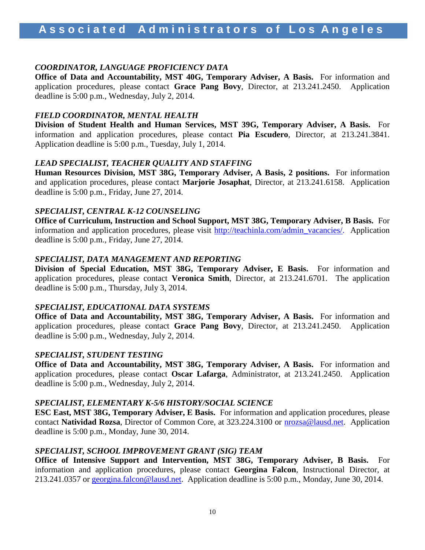#### *COORDINATOR, LANGUAGE PROFICIENCY DATA*

**Office of Data and Accountability, MST 40G, Temporary Adviser, A Basis.** For information and application procedures, please contact **Grace Pang Bovy**, Director, at 213.241.2450. Application deadline is 5:00 p.m., Wednesday, July 2, 2014.

#### *FIELD COORDINATOR, MENTAL HEALTH*

**Division of Student Health and Human Services, MST 39G, Temporary Adviser, A Basis.** For information and application procedures, please contact **Pia Escudero**, Director, at 213.241.3841. Application deadline is 5:00 p.m., Tuesday, July 1, 2014.

#### *LEAD SPECIALIST, TEACHER QUALITY AND STAFFING*

**Human Resources Division, MST 38G, Temporary Adviser, A Basis, 2 positions.** For information and application procedures, please contact **Marjorie Josaphat**, Director, at 213.241.6158. Application deadline is 5:00 p.m., Friday, June 27, 2014.

#### *SPECIALIST, CENTRAL K-12 COUNSELING*

**Office of Curriculum, Instruction and School Support, MST 38G, Temporary Adviser, B Basis.** For information and application procedures, please visit [http://teachinla.com/admin\\_vacancies/.](http://teachinla.com/admin_vacancies/) Application deadline is 5:00 p.m., Friday, June 27, 2014.

#### *SPECIALIST, DATA MANAGEMENT AND REPORTING*

**Division of Special Education, MST 38G, Temporary Adviser, E Basis.** For information and application procedures, please contact **Veronica Smith**, Director, at 213.241.6701. The application deadline is 5:00 p.m., Thursday, July 3, 2014.

#### *SPECIALIST, EDUCATIONAL DATA SYSTEMS*

**Office of Data and Accountability, MST 38G, Temporary Adviser, A Basis.** For information and application procedures, please contact **Grace Pang Bovy**, Director, at 213.241.2450. Application deadline is 5:00 p.m., Wednesday, July 2, 2014.

#### *SPECIALIST, STUDENT TESTING*

**Office of Data and Accountability, MST 38G, Temporary Adviser, A Basis.** For information and application procedures, please contact **Oscar Lafarga**, Administrator, at 213.241.2450. Application deadline is 5:00 p.m., Wednesday, July 2, 2014.

#### *SPECIALIST, ELEMENTARY K-5/6 HISTORY/SOCIAL SCIENCE*

**ESC East, MST 38G, Temporary Adviser, E Basis.** For information and application procedures, please contact **Natividad Rozsa**, Director of Common Core, at 323.224.3100 or [nrozsa@lausd.net.](mailto:nrozsa@lausd.net) Application deadline is 5:00 p.m., Monday, June 30, 2014.

#### *SPECIALIST, SCHOOL IMPROVEMENT GRANT (SIG) TEAM*

**Office of Intensive Support and Intervention, MST 38G, Temporary Adviser, B Basis.** For information and application procedures, please contact **Georgina Falcon**, Instructional Director, at 213.241.0357 or [georgina.falcon@lausd.net.](mailto:georgina.falcon@lausd.net) Application deadline is 5:00 p.m., Monday, June 30, 2014.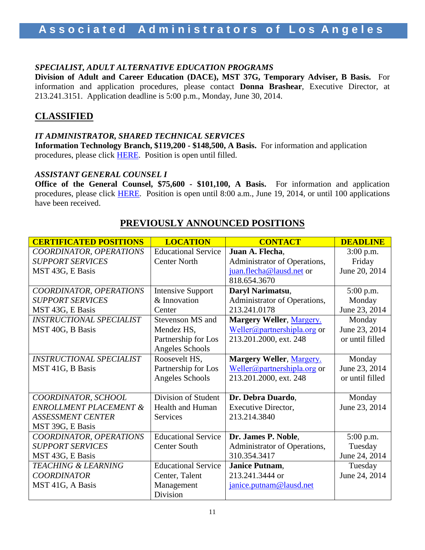#### *SPECIALIST, ADULT ALTERNATIVE EDUCATION PROGRAMS*

**Division of Adult and Career Education (DACE), MST 37G, Temporary Adviser, B Basis.** For information and application procedures, please contact **Donna Brashear**, Executive Director, at 213.241.3151. Application deadline is 5:00 p.m., Monday, June 30, 2014.

# **CLASSIFIED**

#### *IT ADMINISTRATOR, SHARED TECHNICAL SERVICES*

**Information Technology Branch, \$119,200 - \$148,500, A Basis.** For information and application procedures, please click [HERE.](https://btserec.lausd.net/sap(bD1lbiZjPTkxMCZkPW1pbg==)/bc/bsp/sap/zhrrcf_apply_ex/application.do?applicant=internal&BspClient=910&BspLanguage=EN&rfcContext=LAUSD) Position is open until filled.

#### *ASSISTANT GENERAL COUNSEL I*

**Office of the General Counsel, \$75,600 - \$101,100, A Basis.**For information and application procedures, please click [HERE.](https://btserec.lausd.net/sap(bD1lbiZjPTkxMCZkPW1pbg==)/bc/bsp/sap/zhrrcf_apply_ex/application.do?applicant=internal&BspClient=910&BspLanguage=EN&rfcContext=LAUSD) Position is open until 8:00 a.m., June 19, 2014, or until 100 applications have been received.

| <b>CERTIFICATED POSITIONS</b>     | <b>LOCATION</b>            | <b>CONTACT</b>               | <b>DEADLINE</b> |
|-----------------------------------|----------------------------|------------------------------|-----------------|
| COORDINATOR, OPERATIONS           | <b>Educational Service</b> | Juan A. Flecha,              | $3:00$ p.m.     |
| <b>SUPPORT SERVICES</b>           | <b>Center North</b>        | Administrator of Operations, | Friday          |
| MST 43G, E Basis                  |                            | juan.flecha@lausd.net or     | June 20, 2014   |
|                                   |                            | 818.654.3670                 |                 |
| COORDINATOR, OPERATIONS           | <b>Intensive Support</b>   | Daryl Narimatsu,             | 5:00 p.m.       |
| <b>SUPPORT SERVICES</b>           | & Innovation               | Administrator of Operations, | Monday          |
| MST 43G, E Basis                  | Center                     | 213.241.0178                 | June 23, 2014   |
| <b>INSTRUCTIONAL SPECIALIST</b>   | Stevenson MS and           | Margery Weller, Margery.     | Monday          |
| MST 40G, B Basis                  | Mendez HS,                 | Weller@partnershipla.org or  | June 23, 2014   |
|                                   | Partnership for Los        | 213.201.2000, ext. 248       | or until filled |
|                                   | Angeles Schools            |                              |                 |
| <b>INSTRUCTIONAL SPECIALIST</b>   | Roosevelt HS,              | Margery Weller, Margery.     | Monday          |
| MST 41G, B Basis                  | Partnership for Los        | Weller@partnershipla.org or  | June 23, 2014   |
|                                   | Angeles Schools            | 213.201.2000, ext. 248       | or until filled |
|                                   |                            |                              |                 |
| COORDINATOR, SCHOOL               | Division of Student        | Dr. Debra Duardo,            | Monday          |
| <b>ENROLLMENT PLACEMENT &amp;</b> | Health and Human           | Executive Director,          | June 23, 2014   |
| <b>ASSESSMENT CENTER</b>          | <b>Services</b>            | 213.214.3840                 |                 |
| MST 39G, E Basis                  |                            |                              |                 |
| COORDINATOR, OPERATIONS           | <b>Educational Service</b> | Dr. James P. Noble,          | 5:00 p.m.       |
| <b>SUPPORT SERVICES</b>           | <b>Center South</b>        | Administrator of Operations, | Tuesday         |
| MST 43G, E Basis                  |                            | 310.354.3417                 | June 24, 2014   |
| <b>TEACHING &amp; LEARNING</b>    | <b>Educational Service</b> | Janice Putnam,               | Tuesday         |
| <b>COORDINATOR</b>                | Center, Talent             | 213.241.3444 or              | June 24, 2014   |
| MST 41G, A Basis                  | Management                 | janice.putnam@lausd.net      |                 |
|                                   | Division                   |                              |                 |

### **PREVIOUSLY ANNOUNCED POSITIONS**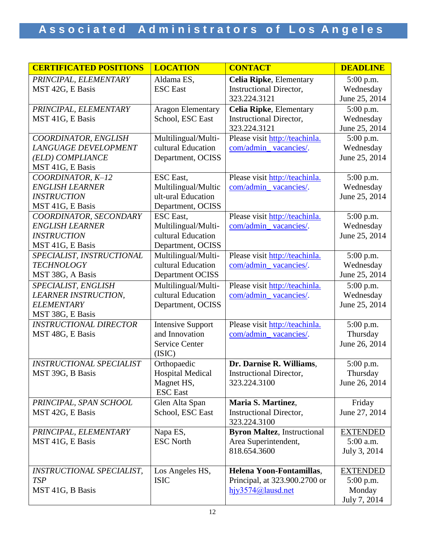| <b>CERTIFICATED POSITIONS</b>   | <b>LOCATION</b>              | <b>CONTACT</b>                                 | <b>DEADLINE</b>              |
|---------------------------------|------------------------------|------------------------------------------------|------------------------------|
| PRINCIPAL, ELEMENTARY           | Aldama ES,                   | <b>Celia Ripke, Elementary</b>                 | 5:00 p.m.                    |
| MST 42G, E Basis                | <b>ESC</b> East              | <b>Instructional Director,</b>                 | Wednesday                    |
|                                 |                              | 323.224.3121                                   | June 25, 2014                |
| PRINCIPAL, ELEMENTARY           | <b>Aragon Elementary</b>     | <b>Celia Ripke, Elementary</b>                 | 5:00 p.m.                    |
| MST 41G, E Basis                | School, ESC East             | <b>Instructional Director,</b>                 | Wednesday                    |
|                                 |                              | 323.224.3121                                   | June 25, 2014                |
| COORDINATOR, ENGLISH            | Multilingual/Multi-          | Please visit http://teachinla.                 | 5:00 p.m.                    |
| <b>LANGUAGE DEVELOPMENT</b>     | cultural Education           | com/admin_vacancies/.                          | Wednesday                    |
| (ELD) COMPLIANCE                | Department, OCISS            |                                                | June 25, 2014                |
| MST 41G, E Basis                |                              |                                                |                              |
| COORDINATOR, K-12               | ESC East,                    | Please visit http://teachinla.                 | 5:00 p.m.                    |
| <b>ENGLISH LEARNER</b>          | Multilingual/Multic          | com/admin_vacancies/.                          | Wednesday                    |
| <b>INSTRUCTION</b>              | ult-ural Education           |                                                | June 25, 2014                |
| MST 41G, E Basis                | Department, OCISS            |                                                |                              |
| COORDINATOR, SECONDARY          | <b>ESC</b> East,             | Please visit http://teachinla.                 | 5:00 p.m.                    |
| <b>ENGLISH LEARNER</b>          | Multilingual/Multi-          | com/admin_vacancies/.                          | Wednesday                    |
| <b>INSTRUCTION</b>              | cultural Education           |                                                | June 25, 2014                |
| MST 41G, E Basis                | Department, OCISS            |                                                |                              |
| SPECIALIST, INSTRUCTIONAL       | Multilingual/Multi-          | Please visit http://teachinla.                 | 5:00 p.m.                    |
| <b>TECHNOLOGY</b>               | cultural Education           | com/admin_vacancies/.                          | Wednesday                    |
| MST 38G, A Basis                | Department OCISS             |                                                | June 25, 2014                |
| SPECIALIST, ENGLISH             | Multilingual/Multi-          | Please visit http://teachinla.                 | 5:00 p.m.                    |
| <b>LEARNER INSTRUCTION,</b>     | cultural Education           | com/admin_vacancies/.                          | Wednesday                    |
| <b>ELEMENTARY</b>               | Department, OCISS            |                                                | June 25, 2014                |
| MST 38G, E Basis                |                              |                                                |                              |
| <b>INSTRUCTIONAL DIRECTOR</b>   | <b>Intensive Support</b>     | Please visit http://teachinla.                 | 5:00 p.m.                    |
| MST 48G, E Basis                | and Innovation               | com/admin_vacancies/.                          | Thursday                     |
|                                 | <b>Service Center</b>        |                                                | June 26, 2014                |
|                                 | (ISIC)                       |                                                |                              |
| <b>INSTRUCTIONAL SPECIALIST</b> | Orthopaedic                  | Dr. Darnise R. Williams,                       | 5:00 p.m.                    |
| MST 39G, B Basis                | Hospital Medical             | Instructional Director,                        | Thursday                     |
|                                 | Magnet HS,                   | 323.224.3100                                   | June 26, 2014                |
|                                 | <b>ESC</b> East              |                                                |                              |
| PRINCIPAL, SPAN SCHOOL          | Glen Alta Span               | Maria S. Martinez,                             | Friday                       |
| MST 42G, E Basis                | School, ESC East             | <b>Instructional Director,</b><br>323.224.3100 | June 27, 2014                |
| PRINCIPAL, ELEMENTARY           |                              |                                                |                              |
|                                 | Napa ES,<br><b>ESC North</b> | <b>Byron Maltez</b> , Instructional            | <b>EXTENDED</b><br>5:00 a.m. |
| MST 41G, E Basis                |                              | Area Superintendent,<br>818.654.3600           | July 3, 2014                 |
|                                 |                              |                                                |                              |
| INSTRUCTIONAL SPECIALIST,       | Los Angeles HS,              | Helena Yoon-Fontamillas,                       | <b>EXTENDED</b>              |
| <b>TSP</b>                      | <b>ISIC</b>                  | Principal, at 323.900.2700 or                  | $5:00$ p.m.                  |
| MST 41G, B Basis                |                              | hjy3574@lausd.net                              | Monday                       |
|                                 |                              |                                                | July 7, 2014                 |